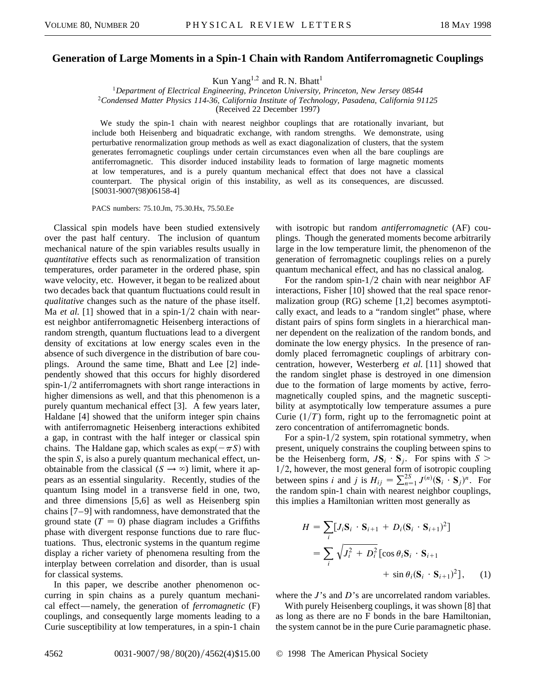## **Generation of Large Moments in a Spin-1 Chain with Random Antiferromagnetic Couplings**

Kun Yang<sup>1,2</sup> and R. N. Bhatt<sup>1</sup>

<sup>1</sup>*Department of Electrical Engineering, Princeton University, Princeton, New Jersey 08544* <sup>2</sup>*Condensed Matter Physics 114-36, California Institute of Technology, Pasadena, California 91125* (Received 22 December 1997)

We study the spin-1 chain with nearest neighbor couplings that are rotationally invariant, but include both Heisenberg and biquadratic exchange, with random strengths. We demonstrate, using perturbative renormalization group methods as well as exact diagonalization of clusters, that the system generates ferromagnetic couplings under certain circumstances even when all the bare couplings are antiferromagnetic. This disorder induced instability leads to formation of large magnetic moments at low temperatures, and is a purely quantum mechanical effect that does not have a classical counterpart. The physical origin of this instability, as well as its consequences, are discussed. [S0031-9007(98)06158-4]

PACS numbers: 75.10.Jm, 75.30.Hx, 75.50.Ee

Classical spin models have been studied extensively over the past half century. The inclusion of quantum mechanical nature of the spin variables results usually in *quantitative* effects such as renormalization of transition temperatures, order parameter in the ordered phase, spin wave velocity, etc. However, it began to be realized about two decades back that quantum fluctuations could result in *qualitative* changes such as the nature of the phase itself. Ma *et al.* [1] showed that in a spin-1/2 chain with nearest neighbor antiferromagnetic Heisenberg interactions of random strength, quantum fluctuations lead to a divergent density of excitations at low energy scales even in the absence of such divergence in the distribution of bare couplings. Around the same time, Bhatt and Lee [2] independently showed that this occurs for highly disordered spin- $1/2$  antiferromagnets with short range interactions in higher dimensions as well, and that this phenomenon is a purely quantum mechanical effect [3]. A few years later, Haldane [4] showed that the uniform integer spin chains with antiferromagnetic Heisenberg interactions exhibited a gap, in contrast with the half integer or classical spin chains. The Haldane gap, which scales as  $\exp(-\pi S)$  with the spin *S*, is also a purely quantum mechanical effect, unobtainable from the classical  $(S \rightarrow \infty)$  limit, where it appears as an essential singularity. Recently, studies of the quantum Ising model in a transverse field in one, two, and three dimensions [5,6] as well as Heisenberg spin chains [7–9] with randomness, have demonstrated that the ground state  $(T = 0)$  phase diagram includes a Griffiths phase with divergent response functions due to rare fluctuations. Thus, electronic systems in the quantum regime display a richer variety of phenomena resulting from the interplay between correlation and disorder, than is usual for classical systems.

In this paper, we describe another phenomenon occurring in spin chains as a purely quantum mechanical effect—namely, the generation of *ferromagnetic* (F) couplings, and consequently large moments leading to a Curie susceptibility at low temperatures, in a spin-1 chain

with isotropic but random *antiferromagnetic* (AF) couplings. Though the generated moments become arbitrarily large in the low temperature limit, the phenomenon of the generation of ferromagnetic couplings relies on a purely quantum mechanical effect, and has no classical analog.

For the random spin- $1/2$  chain with near neighbor AF interactions, Fisher [10] showed that the real space renormalization group (RG) scheme [1,2] becomes asymptotically exact, and leads to a "random singlet" phase, where distant pairs of spins form singlets in a hierarchical manner dependent on the realization of the random bonds, and dominate the low energy physics. In the presence of randomly placed ferromagnetic couplings of arbitrary concentration, however, Westerberg *et al.* [11] showed that the random singlet phase is destroyed in one dimension due to the formation of large moments by active, ferromagnetically coupled spins, and the magnetic susceptibility at asymptotically low temperature assumes a pure Curie  $(1/T)$  form, right up to the ferromagnetic point at zero concentration of antiferromagnetic bonds.

For a spin- $1/2$  system, spin rotational symmetry, when present, uniquely constrains the coupling between spins to be the Heisenberg form,  $J\mathbf{S}_i \cdot \mathbf{S}_j$ . For spins with  $S$  $1/2$ , however, the most general form of isotropic coupling between spins *i* and *j* is  $H_{ij} = \sum_{n=1}^{2S} J^{(n)}(\mathbf{S}_i \cdot \mathbf{S}_j)^n$ . For the random spin-1 chain with nearest neighbor couplings, this implies a Hamiltonian written most generally as

$$
H = \sum_{i} [J_i \mathbf{S}_i \cdot \mathbf{S}_{i+1} + D_i (\mathbf{S}_i \cdot \mathbf{S}_{i+1})^2]
$$
  
= 
$$
\sum_{i} \sqrt{J_i^2 + D_i^2} [\cos \theta_i \mathbf{S}_i \cdot \mathbf{S}_{i+1} + \sin \theta_i (\mathbf{S}_i \cdot \mathbf{S}_{i+1})^2], \quad (1)
$$

where the *J*'s and *D*'s are uncorrelated random variables.

With purely Heisenberg couplings, it was shown [8] that as long as there are no F bonds in the bare Hamiltonian, the system cannot be in the pure Curie paramagnetic phase.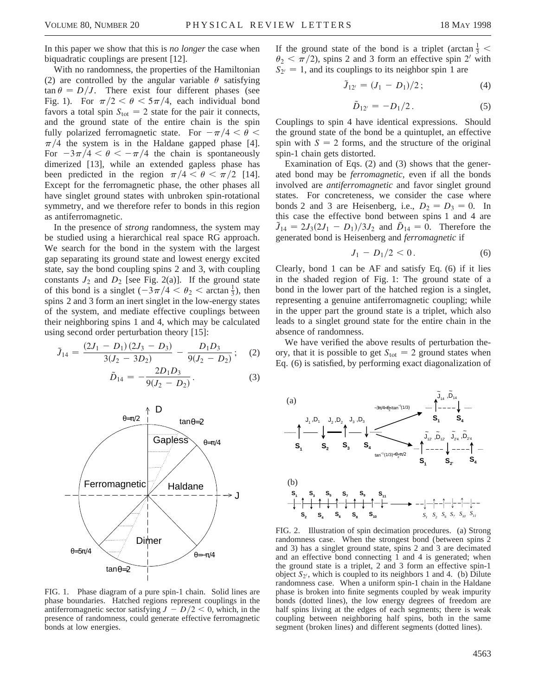In this paper we show that this is *no longer* the case when biquadratic couplings are present [12].

With no randomness, the properties of the Hamiltonian (2) are controlled by the angular variable  $\theta$  satisfying  $\tan \theta = D/J$ . There exist four different phases (see Fig. 1). For  $\pi/2 < \theta < 5\pi/4$ , each individual bond favors a total spin  $S_{\text{tot}} = 2$  state for the pair it connects, and the ground state of the entire chain is the spin fully polarized ferromagnetic state. For  $-\pi/4 < \theta <$  $\pi/4$  the system is in the Haldane gapped phase [4]. For  $-3\pi/4 < \theta < -\pi/4$  the chain is spontaneously dimerized [13], while an extended gapless phase has been predicted in the region  $\pi/4 < \theta < \pi/2$  [14]. Except for the ferromagnetic phase, the other phases all have singlet ground states with unbroken spin-rotational symmetry, and we therefore refer to bonds in this region as antiferromagnetic.

In the presence of *strong* randomness, the system may be studied using a hierarchical real space RG approach. We search for the bond in the system with the largest gap separating its ground state and lowest energy excited state, say the bond coupling spins 2 and 3, with coupling constants  $J_2$  and  $D_2$  [see Fig. 2(a)]. If the ground state of this bond is a singlet  $\left(-\frac{3\pi}{4} < \theta_2 \right)$  arctan  $\frac{1}{3}$ , then spins 2 and 3 form an inert singlet in the low-energy states of the system, and mediate effective couplings between their neighboring spins 1 and 4, which may be calculated using second order perturbation theory [15]:

$$
\tilde{J}_{14} = \frac{(2J_1 - D_1)(2J_3 - D_3)}{3(J_2 - 3D_2)} - \frac{D_1D_3}{9(J_2 - D_2)}; \quad (2)
$$

$$
\tilde{D}_{14} = -\frac{2D_1D_3}{9(J_2 - D_2)}.
$$
\n(3)



FIG. 1. Phase diagram of a pure spin-1 chain. Solid lines are phase boundaries. Hatched regions represent couplings in the antiferromagnetic sector satisfying  $J - D/2 < 0$ , which, in the presence of randomness, could generate effective ferromagnetic bonds at low energies.

If the ground state of the bond is a triplet (arctan  $\frac{1}{3}$  <  $\theta_2 < \pi/2$ , spins 2 and 3 form an effective spin 2' with  $S_{2'} = 1$ , and its couplings to its neighbor spin 1 are

$$
\tilde{J}_{12'} = (J_1 - D_1)/2 \, ; \tag{4}
$$

$$
\tilde{D}_{12'} = -D_1/2. \tag{5}
$$

Couplings to spin 4 have identical expressions. Should the ground state of the bond be a quintuplet, an effective spin with  $S = 2$  forms, and the structure of the original spin-1 chain gets distorted.

Examination of Eqs. (2) and (3) shows that the generated bond may be *ferromagnetic,* even if all the bonds involved are *antiferromagnetic* and favor singlet ground states. For concreteness, we consider the case where bonds 2 and 3 are Heisenberg, i.e.,  $D_2 = D_3 = 0$ . In this case the effective bond between spins 1 and 4 are  $J_{14} = 2J_3(2J_1 - D_1)/3J_2$  and  $\tilde{D}_{14} = 0$ . Therefore the generated bond is Heisenberg and *ferromagnetic* if

$$
J_1 - D_1/2 < 0. \tag{6}
$$

Clearly, bond 1 can be AF and satisfy Eq. (6) if it lies in the shaded region of Fig. 1: The ground state of a bond in the lower part of the hatched region is a singlet, representing a genuine antiferromagnetic coupling; while in the upper part the ground state is a triplet, which also leads to a singlet ground state for the entire chain in the absence of randomness.

We have verified the above results of perturbation theory, that it is possible to get  $S<sub>tot</sub> = 2$  ground states when Eq. (6) is satisfied, by performing exact diagonalization of



FIG. 2. Illustration of spin decimation procedures. (a) Strong randomness case. When the strongest bond (between spins 2 and 3) has a singlet ground state, spins 2 and 3 are decimated and an effective bond connecting  $\hat{1}$  and  $\hat{4}$  is generated; when the ground state is a triplet, 2 and 3 form an effective spin-1 object  $S_{2}$ , which is coupled to its neighbors 1 and 4. (b) Dilute randomness case. When a uniform spin-1 chain in the Haldane phase is broken into finite segments coupled by weak impurity bonds (dotted lines), the low energy degrees of freedom are half spins living at the edges of each segments; there is weak coupling between neighboring half spins, both in the same segment (broken lines) and different segments (dotted lines).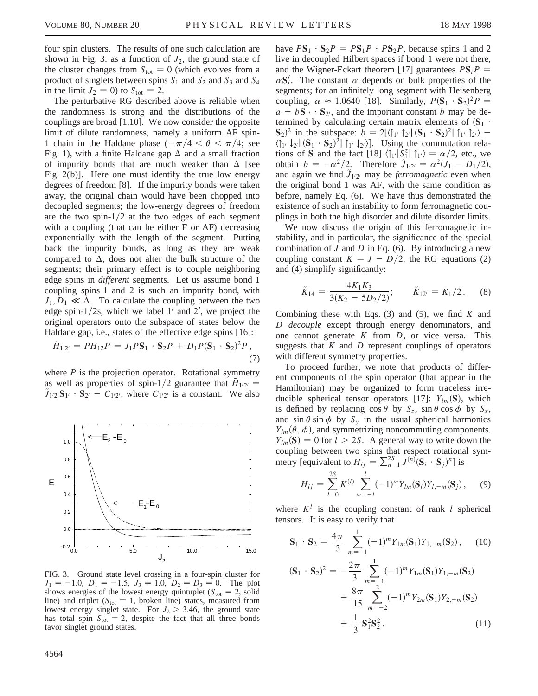four spin clusters. The results of one such calculation are shown in Fig. 3: as a function of  $J_2$ , the ground state of the cluster changes from  $S_{\text{tot}} = 0$  (which evolves from a product of singlets between spins  $S_1$  and  $S_2$  and  $S_3$  and  $S_4$ in the limit  $J_2 = 0$ ) to  $S_{\text{tot}} = 2$ .

The perturbative RG described above is reliable when the randomness is strong and the distributions of the couplings are broad [1,10]. We now consider the opposite limit of dilute randomness, namely a uniform AF spin-1 chain in the Haldane phase  $(-\pi/4 < \theta < \pi/4;$  see Fig. 1), with a finite Haldane gap  $\Delta$  and a small fraction of impurity bonds that are much weaker than  $\Delta$  [see Fig. 2(b)]. Here one must identify the true low energy degrees of freedom [8]. If the impurity bonds were taken away, the original chain would have been chopped into decoupled segments; the low-energy degrees of freedom are the two spin- $1/2$  at the two edges of each segment with a coupling (that can be either F or AF) decreasing exponentially with the length of the segment. Putting back the impurity bonds, as long as they are weak compared to  $\Delta$ , does not alter the bulk structure of the segments; their primary effect is to couple neighboring edge spins in *different* segments. Let us assume bond 1 coupling spins 1 and 2 is such an impurity bond, with  $J_1, D_1 \ll \Delta$ . To calculate the coupling between the two edge spin- $1/2s$ , which we label  $1'$  and  $2'$ , we project the original operators onto the subspace of states below the Haldane gap, i.e., states of the effective edge spins [16]:

$$
\tilde{H}_{1'2'} = PH_{12}P = J_1PS_1 \cdot S_2P + D_1P(S_1 \cdot S_2)^2P,
$$
\n(7)

where  $P$  is the projection operator. Rotational symmetry as well as properties of spin-1/2 guarantee that  $H_{1'2'} =$  $\tilde{J}_{1'2'}$  $\mathbf{S}_{1'} \cdot \mathbf{S}_{2'} + C_{1'2'}$ , where  $C_{1'2'}$  is a constant. We also



FIG. 3. Ground state level crossing in a four-spin cluster for  $J_1 = -1.0$ ,  $D_1 = -1.5$ ,  $J_3 = 1.0$ ,  $D_2 = D_3 = 0$ . The plot shows energies of the lowest energy quintuplet ( $S<sub>tot</sub> = 2$ , solid line) and triplet  $(S<sub>tot</sub> = 1,$  broken line) states, measured from lowest energy singlet state. For  $J_2 > 3.46$ , the ground state has total spin  $S_{\text{tot}} = 2$ , despite the fact that all three bonds favor singlet ground states.

have  $PS_1 \cdot S_2P = PS_1P \cdot PS_2P$ , because spins 1 and 2 live in decoupled Hilbert spaces if bond 1 were not there, and the Wigner-Eckart theorem [17] guarantees  $PS_iP =$  $\alpha S_i'$ . The constant  $\alpha$  depends on bulk properties of the segments; for an infinitely long segment with Heisenberg coupling,  $\alpha \approx 1.0640$  [18]. Similarly,  $P(S_1 \cdot S_2)^2 P =$  $a + bS_{1} \cdot S_{2}$ , and the important constant *b* may be determined by calculating certain matrix elements of  $(S_1 \cdot$  $(\mathbf{S}_2)^2$  in the subspace:  $b = 2[\langle \mathbf{I}_{1'} \mathbf{I}_{2'} | (\mathbf{S}_1 \cdot \mathbf{S}_2)^2 | \mathbf{I}_{1'} \mathbf{I}_{2'} \rangle \langle \uparrow_{1'} \downarrow_{2'} | (S_1 \cdot S_2)^2 | \uparrow_{1'} \downarrow_{2'} \rangle$ . Using the commutation relations of **S** and the fact [18]  $\langle \uparrow_{1'} | S_1^z | \uparrow_{1'} \rangle = \alpha/2$ , etc., we obtain  $b = -\alpha^2/2$ . Therefore  $J_{1/2'} = \alpha^2 (J_1 - D_1/2)$ , and again we find  $\tilde{J}_{1'2'}$  may be *ferromagnetic* even when the original bond 1 was AF, with the same condition as before, namely Eq. (6). We have thus demonstrated the existence of such an instability to form ferromagnetic couplings in both the high disorder and dilute disorder limits.

We now discuss the origin of this ferromagnetic instability, and in particular, the significance of the special combination of *J* and *D* in Eq. (6). By introducing a new coupling constant  $K = J - D/2$ , the RG equations (2) and (4) simplify significantly:

$$
\tilde{K}_{14} = \frac{4K_1K_3}{3(K_2 - 5D_2/2)};
$$
  $\tilde{K}_{12'} = K_1/2.$  (8)

Combining these with Eqs. (3) and (5), we find *K* and *D decouple* except through energy denominators, and one cannot generate *K* from *D*, or vice versa. This suggests that  $K$  and  $D$  represent couplings of operators with different symmetry properties.

To proceed further, we note that products of different components of the spin operator (that appear in the Hamiltonian) may be organized to form traceless irreducible spherical tensor operators [17]:  $Y_{lm}(\mathbf{S})$ , which is defined by replacing  $\cos \theta$  by  $S_z$ ,  $\sin \theta \cos \phi$  by  $S_x$ , and  $\sin \theta \sin \phi$  by  $S_y$  in the usual spherical harmonics  $Y_{lm}(\theta, \phi)$ , and symmetrizing noncommuting components.  $Y_{lm}(\mathbf{S}) = 0$  for  $l > 2S$ . A general way to write down the coupling between two spins that respect rotational symmetry [equivalent to  $H_{ij} = \sum_{n=1}^{S} J^{(n)}(\mathbf{S}_i \cdot \mathbf{S}_j)^n$ ] is

$$
H_{ij} = \sum_{l=0}^{2S} K^{(l)} \sum_{m=-l}^{l} (-1)^m Y_{lm}(\mathbf{S}_i) Y_{l,-m}(\mathbf{S}_j), \quad (9)
$$

where  $K^l$  is the coupling constant of rank *l* spherical tensors. It is easy to verify that

$$
\mathbf{S}_1 \cdot \mathbf{S}_2 = \frac{4\pi}{3} \sum_{m=-1}^1 (-1)^m Y_{1m}(\mathbf{S}_1) Y_{1,-m}(\mathbf{S}_2), \qquad (10)
$$

$$
(\mathbf{S}_1 \cdot \mathbf{S}_2)^2 = -\frac{2\pi}{3} \sum_{m=-1}^1 (-1)^m Y_{1m}(\mathbf{S}_1) Y_{1,-m}(\mathbf{S}_2)
$$
  
+ 
$$
\frac{8\pi}{15} \sum_{m=-2}^2 (-1)^m Y_{2m}(\mathbf{S}_1) Y_{2,-m}(\mathbf{S}_2)
$$
  
+ 
$$
\frac{1}{3} \mathbf{S}_1^2 \mathbf{S}_2^2.
$$
 (11)